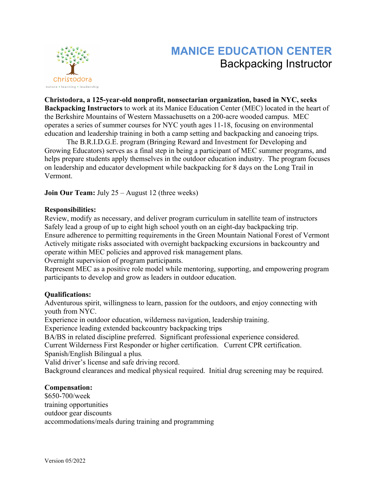

# **MANICE EDUCATION CENTER** Backpacking Instructor

**Christodora, a 125-year-old nonprofit, nonsectarian organization, based in NYC, seeks Backpacking Instructors** to work at its Manice Education Center (MEC) located in the heart of the Berkshire Mountains of Western Massachusetts on a 200-acre wooded campus. MEC operates a series of summer courses for NYC youth ages 11-18, focusing on environmental education and leadership training in both a camp setting and backpacking and canoeing trips.

The B.R.I.D.G.E. program (Bringing Reward and Investment for Developing and Growing Educators) serves as a final step in being a participant of MEC summer programs, and helps prepare students apply themselves in the outdoor education industry. The program focuses on leadership and educator development while backpacking for 8 days on the Long Trail in Vermont.

**Join Our Team:** July 25 – August 12 (three weeks)

## **Responsibilities:**

Review, modify as necessary, and deliver program curriculum in satellite team of instructors Safely lead a group of up to eight high school youth on an eight-day backpacking trip. Ensure adherence to permitting requirements in the Green Mountain National Forest of Vermont Actively mitigate risks associated with overnight backpacking excursions in backcountry and operate within MEC policies and approved risk management plans. Overnight supervision of program participants.

Represent MEC as a positive role model while mentoring, supporting, and empowering program participants to develop and grow as leaders in outdoor education.

### **Qualifications:**

Adventurous spirit, willingness to learn, passion for the outdoors, and enjoy connecting with youth from NYC.

Experience in outdoor education, wilderness navigation, leadership training.

Experience leading extended backcountry backpacking trips

BA/BS in related discipline preferred. Significant professional experience considered.

Current Wilderness First Responder or higher certification. Current CPR certification. Spanish/English Bilingual a plus*.*

Valid driver's license and safe driving record.

Background clearances and medical physical required. Initial drug screening may be required.

### **Compensation:**

\$650-700/week training opportunities outdoor gear discounts accommodations/meals during training and programming